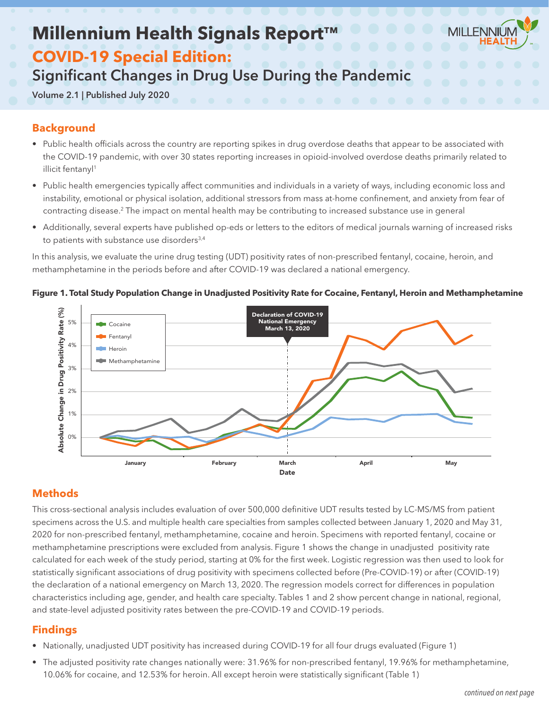# **Millennium Health Signals Report**



## **COVID-19 Special Edition:**

# Significant Changes in Drug Use During the Pandemic

Volume 2.1 | Published July 2020

## **Background**

- Public health officials across the country are reporting spikes in drug overdose deaths that appear to be associated with the COVID-19 pandemic, with over 30 states reporting increases in opioid-involved overdose deaths primarily related to illicit fentanyl<sup>1</sup>
- Public health emergencies typically affect communities and individuals in a variety of ways, including economic loss and instability, emotional or physical isolation, additional stressors from mass at-home confinement, and anxiety from fear of contracting disease.2 The impact on mental health may be contributing to increased substance use in general
- Additionally, several experts have published op-eds or letters to the editors of medical journals warning of increased risks to patients with substance use disorders<sup>3,4</sup>

In this analysis, we evaluate the urine drug testing (UDT) positivity rates of non-prescribed fentanyl, cocaine, heroin, and methamphetamine in the periods before and after COVID-19 was declared a national emergency.



#### **Figure 1. Total Study Population Change in Unadjusted Positivity Rate for Cocaine, Fentanyl, Heroin and Methamphetamine**

## **Methods**

This cross-sectional analysis includes evaluation of over 500,000 definitive UDT results tested by LC-MS/MS from patient specimens across the U.S. and multiple health care specialties from samples collected between January 1, 2020 and May 31, 2020 for non-prescribed fentanyl, methamphetamine, cocaine and heroin. Specimens with reported fentanyl, cocaine or methamphetamine prescriptions were excluded from analysis. Figure 1 shows the change in unadjusted positivity rate calculated for each week of the study period, starting at 0% for the first week. Logistic regression was then used to look for statistically significant associations of drug positivity with specimens collected before (Pre-COVID-19) or after (COVID-19) the declaration of a national emergency on March 13, 2020. The regression models correct for differences in population characteristics including age, gender, and health care specialty. Tables 1 and 2 show percent change in national, regional, and state-level adjusted positivity rates between the pre-COVID-19 and COVID-19 periods.

### **Findings**

- Nationally, unadjusted UDT positivity has increased during COVID-19 for all four drugs evaluated (Figure 1)
- The adjusted positivity rate changes nationally were: 31.96% for non-prescribed fentanyl, 19.96% for methamphetamine, 10.06% for cocaine, and 12.53% for heroin. All except heroin were statistically significant (Table 1)